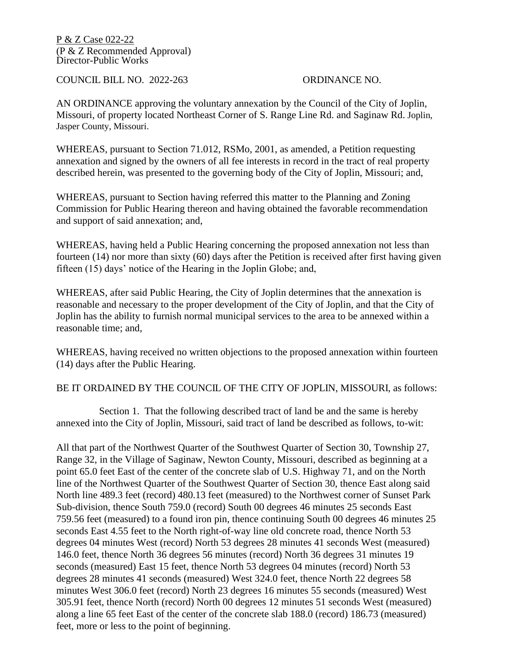P & Z Case 022-22 (P & Z Recommended Approval) Director-Public Works

COUNCIL BILL NO. 2022-263 ORDINANCE NO.

AN ORDINANCE approving the voluntary annexation by the Council of the City of Joplin, Missouri, of property located Northeast Corner of S. Range Line Rd. and Saginaw Rd. Joplin, Jasper County, Missouri.

WHEREAS, pursuant to Section 71.012, RSMo, 2001, as amended, a Petition requesting annexation and signed by the owners of all fee interests in record in the tract of real property described herein, was presented to the governing body of the City of Joplin, Missouri; and,

WHEREAS, pursuant to Section having referred this matter to the Planning and Zoning Commission for Public Hearing thereon and having obtained the favorable recommendation and support of said annexation; and,

WHEREAS, having held a Public Hearing concerning the proposed annexation not less than fourteen (14) nor more than sixty (60) days after the Petition is received after first having given fifteen (15) days' notice of the Hearing in the Joplin Globe; and,

WHEREAS, after said Public Hearing, the City of Joplin determines that the annexation is reasonable and necessary to the proper development of the City of Joplin, and that the City of Joplin has the ability to furnish normal municipal services to the area to be annexed within a reasonable time; and,

WHEREAS, having received no written objections to the proposed annexation within fourteen (14) days after the Public Hearing.

## BE IT ORDAINED BY THE COUNCIL OF THE CITY OF JOPLIN, MISSOURI, as follows:

 Section 1. That the following described tract of land be and the same is hereby annexed into the City of Joplin, Missouri, said tract of land be described as follows, to-wit:

All that part of the Northwest Quarter of the Southwest Quarter of Section 30, Township 27, Range 32, in the Village of Saginaw, Newton County, Missouri, described as beginning at a point 65.0 feet East of the center of the concrete slab of U.S. Highway 71, and on the North line of the Northwest Quarter of the Southwest Quarter of Section 30, thence East along said North line 489.3 feet (record) 480.13 feet (measured) to the Northwest corner of Sunset Park Sub-division, thence South 759.0 (record) South 00 degrees 46 minutes 25 seconds East 759.56 feet (measured) to a found iron pin, thence continuing South 00 degrees 46 minutes 25 seconds East 4.55 feet to the North right-of-way line old concrete road, thence North 53 degrees 04 minutes West (record) North 53 degrees 28 minutes 41 seconds West (measured) 146.0 feet, thence North 36 degrees 56 minutes (record) North 36 degrees 31 minutes 19 seconds (measured) East 15 feet, thence North 53 degrees 04 minutes (record) North 53 degrees 28 minutes 41 seconds (measured) West 324.0 feet, thence North 22 degrees 58 minutes West 306.0 feet (record) North 23 degrees 16 minutes 55 seconds (measured) West 305.91 feet, thence North (record) North 00 degrees 12 minutes 51 seconds West (measured) along a line 65 feet East of the center of the concrete slab 188.0 (record) 186.73 (measured) feet, more or less to the point of beginning.